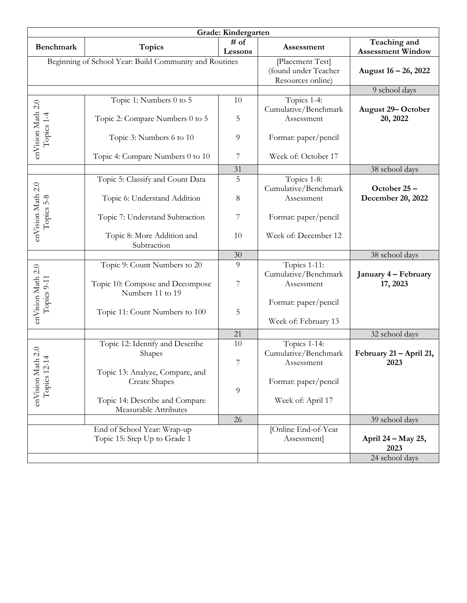| Grade: Kindergarten                                    |                                                                                     |                                                               |                                                    |                                                                |  |
|--------------------------------------------------------|-------------------------------------------------------------------------------------|---------------------------------------------------------------|----------------------------------------------------|----------------------------------------------------------------|--|
| Benchmark                                              | <b>Topics</b>                                                                       | # of<br>Lessons                                               | Assessment                                         | Teaching and<br><b>Assessment Window</b>                       |  |
| Beginning of School Year: Build Community and Routines |                                                                                     | [Placement Test]<br>(found under Teacher<br>Resources online) | August 16 - 26, 2022                               |                                                                |  |
|                                                        |                                                                                     |                                                               |                                                    | 9 school days                                                  |  |
| en Vision Math 2.0                                     | Topic 1: Numbers 0 to 5<br>Topic 2: Compare Numbers 0 to 5                          | 10<br>5                                                       | Topics 1-4:<br>Cumulative/Benchmark<br>Assessment  | <b>August 29-October</b><br>20, 2022                           |  |
| Topics 1-4                                             | Topic 3: Numbers 6 to 10                                                            | 9                                                             | Format: paper/pencil                               |                                                                |  |
|                                                        | Topic 4: Compare Numbers 0 to 10                                                    | 7                                                             | Week of: October 17                                |                                                                |  |
|                                                        |                                                                                     | 31                                                            |                                                    | 38 school days                                                 |  |
| enVision Math 2.0                                      | Topic 5: Classify and Count Data<br>Topic 6: Understand Addition                    | 5<br>8                                                        | Topics 1-8:<br>Cumulative/Benchmark<br>Assessment  | October 25-<br>December 20, 2022                               |  |
| Topics 5-8                                             | Topic 7: Understand Subtraction                                                     | 7                                                             | Format: paper/pencil                               |                                                                |  |
|                                                        | Topic 8: More Addition and<br>Subtraction                                           | 10                                                            | Week of: December 12                               |                                                                |  |
|                                                        |                                                                                     | 30                                                            |                                                    | 38 school days                                                 |  |
| enVision Math 2.0                                      | Topic 9: Count Numbers to 20<br>Topic 10: Compose and Decompose<br>Numbers 11 to 19 | 9<br>7                                                        | Topics 1-11:<br>Cumulative/Benchmark<br>Assessment | January 4 - February<br>17, 2023                               |  |
| Topics 9-11                                            | Topic 11: Count Numbers to 100                                                      | 5                                                             | Format: paper/pencil<br>Week of: February 13       |                                                                |  |
|                                                        |                                                                                     | 21                                                            |                                                    | 32 school days                                                 |  |
| $\mbox{I}$ ath 2.0<br>Topics 12-14<br>$M$ ision M      | Topic 12: Identify and Describe<br>Shapes<br>Topic 13: Analyze, Compare, and        | 10<br>7                                                       | Topics 1-14:<br>Cumulative/Benchmark<br>Assessment | February 21 - April 21,<br>2023                                |  |
|                                                        | <b>Create Shapes</b><br>Topic 14: Describe and Compare                              | 9                                                             | Format: paper/pencil<br>Week of: April 17          |                                                                |  |
|                                                        | Measurable Attributes                                                               |                                                               |                                                    |                                                                |  |
|                                                        | End of School Year: Wrap-up<br>Topic 15: Step Up to Grade 1                         | 26                                                            | [Online End-of-Year<br>Assessment]                 | 39 school days<br>April 24 – May 25,<br>2023<br>24 school days |  |
|                                                        |                                                                                     |                                                               |                                                    |                                                                |  |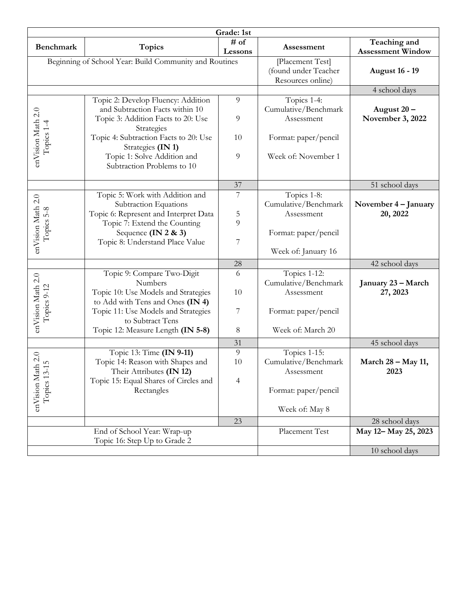| Grade: 1st                                                             |                                                                                                                                                                                                                                                      |                          |                                                                                                  |                                          |  |
|------------------------------------------------------------------------|------------------------------------------------------------------------------------------------------------------------------------------------------------------------------------------------------------------------------------------------------|--------------------------|--------------------------------------------------------------------------------------------------|------------------------------------------|--|
| <b>Benchmark</b>                                                       | <b>Topics</b>                                                                                                                                                                                                                                        | # of<br>Lessons          | Assessment                                                                                       | Teaching and<br><b>Assessment Window</b> |  |
| Beginning of School Year: Build Community and Routines                 |                                                                                                                                                                                                                                                      |                          | [Placement Test]<br>(found under Teacher<br>Resources online)                                    | <b>August 16 - 19</b>                    |  |
|                                                                        |                                                                                                                                                                                                                                                      |                          |                                                                                                  | 4 school days                            |  |
| enVision Math 2.0<br>Topics 1-4                                        | Topic 2: Develop Fluency: Addition<br>and Subtraction Facts within 10<br>Topic 3: Addition Facts to 20: Use<br>Strategies<br>Topic 4: Subtraction Facts to 20: Use<br>Strategies (IN 1)<br>Topic 1: Solve Addition and<br>Subtraction Problems to 10 | 9<br>9<br>10<br>9        | Topics 1-4:<br>Cumulative/Benchmark<br>Assessment<br>Format: paper/pencil<br>Week of: November 1 | August 20 -<br>November 3, 2022          |  |
|                                                                        |                                                                                                                                                                                                                                                      | 37                       |                                                                                                  | 51 school days                           |  |
| enVision Math 2.0<br>Topics 5-8                                        | Topic 5: Work with Addition and<br>Subtraction Equations<br>Topic 6: Represent and Interpret Data<br>Topic 7: Extend the Counting<br>Sequence (IN 2 & 3)                                                                                             | $\overline{7}$<br>5<br>9 | Topics 1-8:<br>Cumulative/Benchmark<br>Assessment<br>Format: paper/pencil                        | November 4 – January<br>20, 2022         |  |
|                                                                        | Topic 8: Understand Place Value                                                                                                                                                                                                                      | 7                        | Week of: January 16                                                                              |                                          |  |
|                                                                        |                                                                                                                                                                                                                                                      |                          |                                                                                                  |                                          |  |
|                                                                        | Topic 9: Compare Two-Digit                                                                                                                                                                                                                           | 28<br>6                  | Topics 1-12:                                                                                     | 42 school days                           |  |
| enVision Math 2.0<br>Topics 9-12                                       | Numbers<br>Topic 10: Use Models and Strategies<br>to Add with Tens and Ones (IN 4)                                                                                                                                                                   | 10                       | Cumulative/Benchmark<br>Assessment                                                               | January 23 – March<br>27, 2023           |  |
|                                                                        | Topic 11: Use Models and Strategies<br>to Subtract Tens                                                                                                                                                                                              | 7                        | Format: paper/pencil                                                                             |                                          |  |
|                                                                        | Topic 12: Measure Length (IN 5-8)                                                                                                                                                                                                                    | 8                        | Week of: March 20                                                                                |                                          |  |
|                                                                        |                                                                                                                                                                                                                                                      | 31                       |                                                                                                  | 45 school days                           |  |
| enVision Math 2.0<br>$\mathsf{L}\Omega$<br>$\overline{ }$<br>Topics 13 | Topic 13: Time (IN 9-11)<br>Topic 14: Reason with Shapes and<br>Their Attributes (IN 12)<br>Topic 15: Equal Shares of Circles and<br>Rectangles                                                                                                      | 9<br>10<br>4             | Topics 1-15:<br>Cumulative/Benchmark<br>Assessment<br>Format: paper/pencil                       | March 28 – May 11,<br>2023               |  |
|                                                                        |                                                                                                                                                                                                                                                      |                          | Week of: May 8                                                                                   |                                          |  |
|                                                                        |                                                                                                                                                                                                                                                      | 23                       |                                                                                                  | 28 school days                           |  |
| End of School Year: Wrap-up<br>Topic 16: Step Up to Grade 2            |                                                                                                                                                                                                                                                      |                          | Placement Test                                                                                   | May 12-May 25, 2023                      |  |
|                                                                        |                                                                                                                                                                                                                                                      |                          |                                                                                                  | 10 school days                           |  |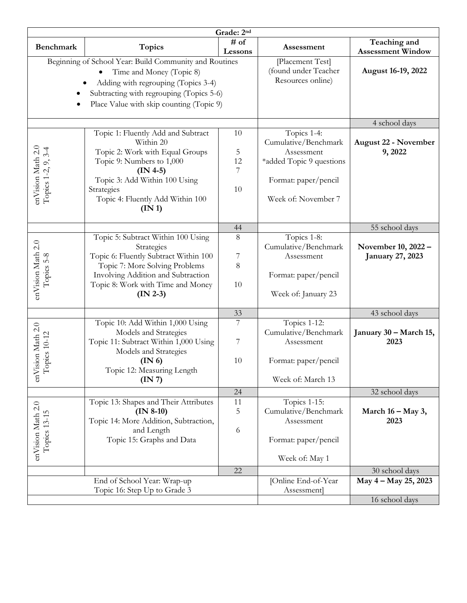| Grade: 2nd                                                                                                                                                                                                                     |                                                                                                                                                                                                                            |                                                 |                                                                                                                              |                                                |  |
|--------------------------------------------------------------------------------------------------------------------------------------------------------------------------------------------------------------------------------|----------------------------------------------------------------------------------------------------------------------------------------------------------------------------------------------------------------------------|-------------------------------------------------|------------------------------------------------------------------------------------------------------------------------------|------------------------------------------------|--|
| Benchmark                                                                                                                                                                                                                      | <b>Topics</b>                                                                                                                                                                                                              | # of<br>Lessons                                 | Assessment                                                                                                                   | Teaching and<br><b>Assessment Window</b>       |  |
| Beginning of School Year: Build Community and Routines<br>Time and Money (Topic 8)<br>$\bullet$<br>Adding with regrouping (Topics 3-4)<br>Subtracting with regrouping (Topics 5-6)<br>Place Value with skip counting (Topic 9) |                                                                                                                                                                                                                            |                                                 | [Placement Test]<br>(found under Teacher<br>Resources online)                                                                | August 16-19, 2022                             |  |
|                                                                                                                                                                                                                                |                                                                                                                                                                                                                            |                                                 |                                                                                                                              | 4 school days                                  |  |
| enVision Math 2.0<br>Topics 1-2, 9, 3-4                                                                                                                                                                                        | Topic 1: Fluently Add and Subtract<br>Within 20<br>Topic 2: Work with Equal Groups<br>Topic 9: Numbers to 1,000<br>$(IN 4-5)$<br>Topic 3: Add Within 100 Using<br>Strategies<br>Topic 4: Fluently Add Within 100<br>(IN 1) | 10<br>5<br>12<br>$\overline{\mathcal{I}}$<br>10 | Topics 1-4:<br>Cumulative/Benchmark<br>Assessment<br>*added Topic 9 questions<br>Format: paper/pencil<br>Week of: November 7 | <b>August 22 - November</b><br>9,2022          |  |
|                                                                                                                                                                                                                                |                                                                                                                                                                                                                            | 44                                              |                                                                                                                              | 55 school days                                 |  |
| enVision Math 2.0<br>Topics 5-8                                                                                                                                                                                                | Topic 5: Subtract Within 100 Using<br>Strategies<br>Topic 6: Fluently Subtract Within 100<br>Topic 7: More Solving Problems<br>Involving Addition and Subtraction<br>Topic 8: Work with Time and Money<br>$(IN 2-3)$       | 8<br>7<br>8<br>10                               | Topics 1-8:<br>Cumulative/Benchmark<br>Assessment<br>Format: paper/pencil<br>Week of: January 23                             | November 10, 2022 -<br><b>January 27, 2023</b> |  |
|                                                                                                                                                                                                                                |                                                                                                                                                                                                                            | 33                                              |                                                                                                                              | 43 school days                                 |  |
| ision Math 2.0<br>opics 10-12<br>$\mathbf{H}$                                                                                                                                                                                  | Topic 10: Add Within 1,000 Using<br>Models and Strategies<br>Topic 11: Subtract Within 1,000 Using<br>Models and Strategies<br>(IN 6)<br>Topic 12: Measuring Length<br>(IN 7)                                              | $\overline{\mathcal{I}}$<br>7<br>10             | Topics 1-12:<br>Cumulative/Benchmark<br>Assessment<br>Format: paper/pencil<br>Week of: March 13                              | January 30 – March 15,<br>2023                 |  |
|                                                                                                                                                                                                                                |                                                                                                                                                                                                                            | 24                                              |                                                                                                                              | 32 school days                                 |  |
| enVision Math 2.0<br>Topics 13-15                                                                                                                                                                                              | Topic 13: Shapes and Their Attributes<br>$(IN 8-10)$<br>Topic 14: More Addition, Subtraction,<br>and Length<br>Topic 15: Graphs and Data                                                                                   | 11<br>5<br>6                                    | Topics 1-15:<br>Cumulative/Benchmark<br>Assessment<br>Format: paper/pencil<br>Week of: May 1                                 | March $16 - May 3$ ,<br>2023                   |  |
|                                                                                                                                                                                                                                |                                                                                                                                                                                                                            | 22                                              |                                                                                                                              | 30 school days                                 |  |
|                                                                                                                                                                                                                                | End of School Year: Wrap-up<br>Topic 16: Step Up to Grade 3                                                                                                                                                                |                                                 | [Online End-of-Year<br>Assessment]                                                                                           | May 4 - May 25, 2023                           |  |
|                                                                                                                                                                                                                                |                                                                                                                                                                                                                            |                                                 |                                                                                                                              | 16 school days                                 |  |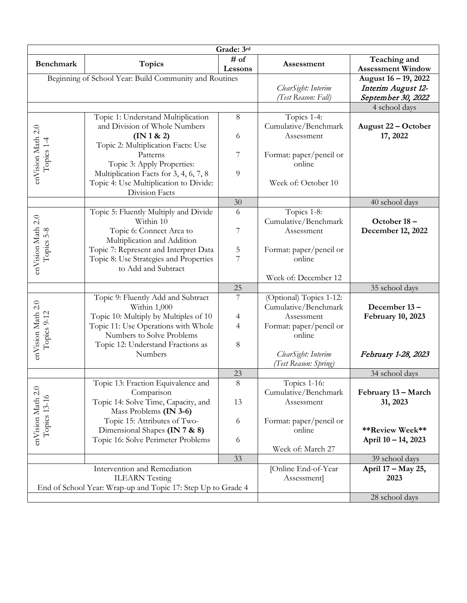| Grade: 3rd                                                   |                                              |                 |                                              |                                          |  |  |
|--------------------------------------------------------------|----------------------------------------------|-----------------|----------------------------------------------|------------------------------------------|--|--|
| <b>Benchmark</b>                                             | <b>Topics</b>                                | # of<br>Lessons | Assessment                                   | Teaching and<br><b>Assessment Window</b> |  |  |
| Beginning of School Year: Build Community and Routines       |                                              |                 |                                              | August 16 - 19, 2022                     |  |  |
|                                                              |                                              |                 | ClearSight: Interim                          | Interim August 12-                       |  |  |
|                                                              |                                              |                 | (Test Reason: Fall)                          | September 30, 2022                       |  |  |
|                                                              |                                              |                 |                                              | 4 school days                            |  |  |
|                                                              | Topic 1: Understand Multiplication           | $\,8\,$         | Topics 1-4:                                  |                                          |  |  |
|                                                              | and Division of Whole Numbers                |                 | Cumulative/Benchmark                         | August 22 - October                      |  |  |
|                                                              | (IN 1 & 2)                                   | 6               | Assessment                                   | 17, 2022                                 |  |  |
|                                                              | Topic 2: Multiplication Facts: Use           |                 |                                              |                                          |  |  |
|                                                              | Patterns                                     | 7               | Format: paper/pencil or                      |                                          |  |  |
| Topics 1-4                                                   | Topic 3: Apply Properties:                   |                 | online                                       |                                          |  |  |
| enVision Math 2.0                                            | Multiplication Facts for 3, 4, 6, 7, 8       | $\overline{9}$  |                                              |                                          |  |  |
|                                                              | Topic 4: Use Multiplication to Divide:       |                 | Week of: October 10                          |                                          |  |  |
|                                                              | Division Facts                               |                 |                                              |                                          |  |  |
|                                                              |                                              | 30              |                                              | 40 school days                           |  |  |
|                                                              | Topic 5: Fluently Multiply and Divide        | 6               | Topics 1-8:                                  |                                          |  |  |
| enVision Math 2.0                                            | Within 10                                    |                 | Cumulative/Benchmark                         | October 18-                              |  |  |
|                                                              | Topic 6: Connect Area to                     | 7               | Assessment                                   | December 12, 2022                        |  |  |
| Topics 5-8                                                   | Multiplication and Addition                  |                 |                                              |                                          |  |  |
|                                                              | Topic 7: Represent and Interpret Data        | 5               | Format: paper/pencil or                      |                                          |  |  |
|                                                              | Topic 8: Use Strategies and Properties       | 7               | online                                       |                                          |  |  |
|                                                              | to Add and Subtract                          |                 |                                              |                                          |  |  |
|                                                              |                                              |                 | Week of: December 12                         |                                          |  |  |
|                                                              |                                              | 25              |                                              | 35 school days                           |  |  |
|                                                              | Topic 9: Fluently Add and Subtract           | 7               | (Optional) Topics 1-12:                      |                                          |  |  |
|                                                              | Within 1,000                                 |                 | Cumulative/Benchmark                         | December 13-                             |  |  |
|                                                              | Topic 10: Multiply by Multiples of 10        | 4               | Assessment                                   | <b>February 10, 2023</b>                 |  |  |
|                                                              | Topic 11: Use Operations with Whole          | $\overline{4}$  | Format: paper/pencil or                      |                                          |  |  |
| enVision Math 2.0<br>Topics 9-12                             | Numbers to Solve Problems                    |                 | online                                       |                                          |  |  |
|                                                              | Topic 12: Understand Fractions as<br>Numbers | 8               |                                              |                                          |  |  |
|                                                              |                                              |                 | ClearSight: Interim<br>(Test Reason: Spring) | February 1-28, 2023                      |  |  |
|                                                              |                                              | 23              |                                              | 34 school days                           |  |  |
|                                                              | Topic 13: Fraction Equivalence and           | $\,8\,$         | Topics 1-16:                                 |                                          |  |  |
|                                                              | Comparison                                   |                 | Cumulative/Benchmark                         | February 13 - March                      |  |  |
|                                                              | Topic 14: Solve Time, Capacity, and          | 13              | Assessment                                   | 31, 2023                                 |  |  |
|                                                              | Mass Problems (IN 3-6)                       |                 |                                              |                                          |  |  |
| Topics 13-16                                                 | Topic 15: Attributes of Two-                 | 6               | Format: paper/pencil or                      |                                          |  |  |
|                                                              | Dimensional Shapes (IN 7 & 8)                |                 | online                                       | **Review Week**                          |  |  |
| enVision Math 2.0                                            | Topic 16: Solve Perimeter Problems           | 6               |                                              | April 10 - 14, 2023                      |  |  |
|                                                              |                                              |                 | Week of: March 27                            |                                          |  |  |
|                                                              |                                              | 33              |                                              | 39 school days                           |  |  |
| Intervention and Remediation                                 |                                              |                 | [Online End-of-Year                          | April 17 - May 25,                       |  |  |
| <b>ILEARN</b> Testing                                        |                                              |                 | Assessment]                                  | 2023                                     |  |  |
| End of School Year: Wrap-up and Topic 17: Step Up to Grade 4 |                                              |                 |                                              |                                          |  |  |
|                                                              |                                              |                 |                                              | 28 school days                           |  |  |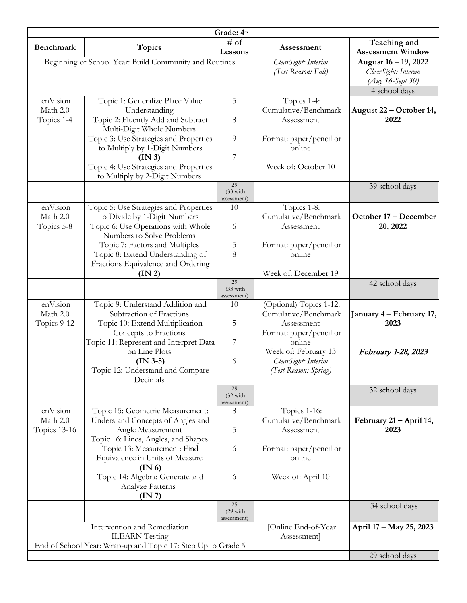| Grade: 4th                                                                                                            |                                                                                                                                                                                                                                       |                                            |                                                                                                                                                                            |                                                         |  |
|-----------------------------------------------------------------------------------------------------------------------|---------------------------------------------------------------------------------------------------------------------------------------------------------------------------------------------------------------------------------------|--------------------------------------------|----------------------------------------------------------------------------------------------------------------------------------------------------------------------------|---------------------------------------------------------|--|
| <b>Benchmark</b>                                                                                                      | <b>Topics</b>                                                                                                                                                                                                                         | $#$ of<br>Lessons                          | Assessment                                                                                                                                                                 | Teaching and<br><b>Assessment Window</b>                |  |
| Beginning of School Year: Build Community and Routines                                                                |                                                                                                                                                                                                                                       | ClearSight: Interim<br>(Test Reason: Fall) | August 16 - 19, 2022<br>ClearSight: Interim<br>(Aug 16-Sept 30)                                                                                                            |                                                         |  |
|                                                                                                                       |                                                                                                                                                                                                                                       |                                            |                                                                                                                                                                            | 4 school days                                           |  |
| enVision<br>Math 2.0<br>Topics 1-4                                                                                    | Topic 1: Generalize Place Value<br>Understanding<br>Topic 2: Fluently Add and Subtract<br>Multi-Digit Whole Numbers                                                                                                                   | 5<br>$\,8\,$                               | Topics 1-4:<br>Cumulative/Benchmark<br>Assessment                                                                                                                          | August 22 – October 14,<br>2022                         |  |
|                                                                                                                       | Topic 3: Use Strategies and Properties<br>to Multiply by 1-Digit Numbers                                                                                                                                                              | 9                                          | Format: paper/pencil or<br>online                                                                                                                                          |                                                         |  |
|                                                                                                                       | (IN3)<br>Topic 4: Use Strategies and Properties<br>to Multiply by 2-Digit Numbers                                                                                                                                                     | 7                                          | Week of: October 10                                                                                                                                                        |                                                         |  |
|                                                                                                                       |                                                                                                                                                                                                                                       | 29<br>$(33 \text{ with}$<br>assessment)    |                                                                                                                                                                            | 39 school days                                          |  |
| enVision<br>Math 2.0<br>Topics 5-8                                                                                    | Topic 5: Use Strategies and Properties<br>to Divide by 1-Digit Numbers<br>Topic 6: Use Operations with Whole<br>Numbers to Solve Problems                                                                                             | 10<br>6                                    | Topics 1-8:<br>Cumulative/Benchmark<br>Assessment                                                                                                                          | October 17 - December<br>20, 2022                       |  |
|                                                                                                                       | Topic 7: Factors and Multiples<br>Topic 8: Extend Understanding of<br>Fractions Equivalence and Ordering<br>(IN2)                                                                                                                     | 5<br>8                                     | Format: paper/pencil or<br>online<br>Week of: December 19                                                                                                                  |                                                         |  |
|                                                                                                                       |                                                                                                                                                                                                                                       | 29<br>$(33 \text{ with}$<br>assessment)    |                                                                                                                                                                            | 42 school days                                          |  |
| enVision<br>Math 2.0<br>Topics 9-12                                                                                   | Topic 9: Understand Addition and<br>Subtraction of Fractions<br>Topic 10: Extend Multiplication<br>Concepts to Fractions<br>Topic 11: Represent and Interpret Data<br>on Line Plots<br>$(IN 3-5)$<br>Topic 12: Understand and Compare | 10<br>5<br>$\overline{7}$<br>6             | (Optional) Topics 1-12:<br>Cumulative/Benchmark<br>Assessment<br>Format: paper/pencil or<br>online<br>Week of: February 13<br>ClearSight: Interim<br>(Test Reason: Spring) | January 4 – February 17,<br>2023<br>February 1-28, 2023 |  |
|                                                                                                                       | Decimals                                                                                                                                                                                                                              | 29<br>$(32 \text{ with}$<br>assessment)    |                                                                                                                                                                            | 32 school days                                          |  |
| enVision<br>Math 2.0<br>Topics 13-16                                                                                  | Topic 15: Geometric Measurement:<br>Understand Concepts of Angles and<br>Angle Measurement<br>Topic 16: Lines, Angles, and Shapes                                                                                                     | 8<br>5                                     | Topics 1-16:<br>Cumulative/Benchmark<br>Assessment                                                                                                                         | February 21 – April 14,<br>2023                         |  |
|                                                                                                                       | Topic 13: Measurement: Find<br>Equivalence in Units of Measure<br>(IN 6)                                                                                                                                                              | 6                                          | Format: paper/pencil or<br>online                                                                                                                                          |                                                         |  |
|                                                                                                                       | Topic 14: Algebra: Generate and<br>Analyze Patterns<br>(IN 7)                                                                                                                                                                         | 6                                          | Week of: April 10                                                                                                                                                          |                                                         |  |
|                                                                                                                       |                                                                                                                                                                                                                                       | 25<br>$(29 \text{ with}$<br>assessment)    |                                                                                                                                                                            | 34 school days                                          |  |
| Intervention and Remediation<br><b>ILEARN</b> Testing<br>End of School Year: Wrap-up and Topic 17: Step Up to Grade 5 |                                                                                                                                                                                                                                       |                                            | [Online End-of-Year<br>Assessment]                                                                                                                                         | April 17 - May 25, 2023                                 |  |
|                                                                                                                       |                                                                                                                                                                                                                                       |                                            |                                                                                                                                                                            | 29 school days                                          |  |